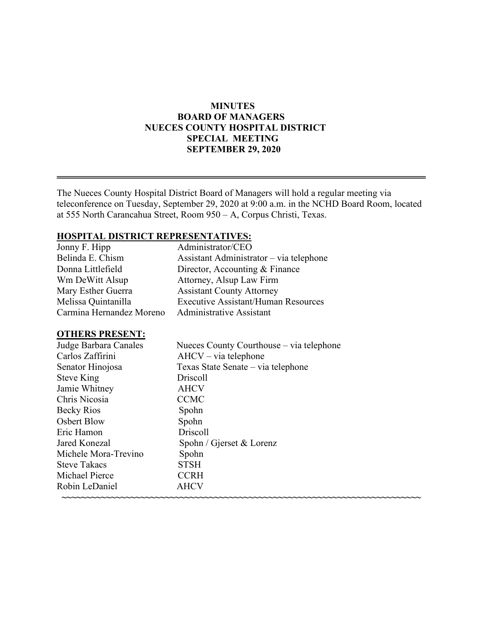# **MINUTES BOARD OF MANAGERS NUECES COUNTY HOSPITAL DISTRICT SPECIAL MEETING SEPTEMBER 29, 2020**

The Nueces County Hospital District Board of Managers will hold a regular meeting via teleconference on Tuesday, September 29, 2020 at 9:00 a.m. in the NCHD Board Room, located at 555 North Carancahua Street, Room 950 – A, Corpus Christi, Texas.

# **HOSPITAL DISTRICT REPRESENTATIVES:**

| Jonny F. Hipp            | Administrator/CEO                          |
|--------------------------|--------------------------------------------|
| Belinda E. Chism         | Assistant Administrator – via telephone    |
| Donna Littlefield        | Director, Accounting & Finance             |
| Wm DeWitt Alsup          | Attorney, Alsup Law Firm                   |
| Mary Esther Guerra       | <b>Assistant County Attorney</b>           |
| Melissa Quintanilla      | <b>Executive Assistant/Human Resources</b> |
| Carmina Hernandez Moreno | <b>Administrative Assistant</b>            |

### **OTHERS PRESENT:**

| Judge Barbara Canales | Nueces County Courthouse – via telephone |
|-----------------------|------------------------------------------|
| Carlos Zaffirini      | $AHCV - via telephone$                   |
| Senator Hinojosa      | Texas State Senate – via telephone       |
| <b>Steve King</b>     | Driscoll                                 |
| Jamie Whitney         | <b>AHCV</b>                              |
| Chris Nicosia         | <b>CCMC</b>                              |
| Becky Rios            | Spohn                                    |
| Osbert Blow           | Spohn                                    |
| Eric Hamon            | Driscoll                                 |
| Jared Konezal         | Spohn / Gjerset & Lorenz                 |
| Michele Mora-Trevino  | Spohn                                    |
| <b>Steve Takacs</b>   | <b>STSH</b>                              |
| Michael Pierce        | <b>CCRH</b>                              |
| Robin LeDaniel        | <b>AHCV</b>                              |
|                       |                                          |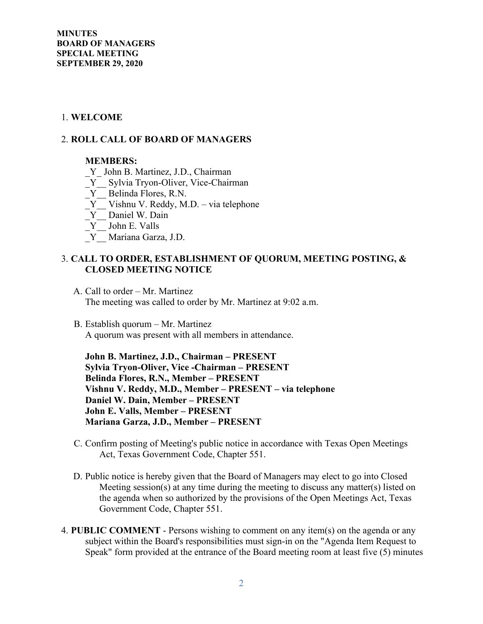**MINUTES BOARD OF MANAGERS SPECIAL MEETING SEPTEMBER 29, 2020** 

#### 1. **WELCOME**

### 2. **ROLL CALL OF BOARD OF MANAGERS**

#### **MEMBERS:**

- Y John B. Martinez, J.D., Chairman
- \_Y\_\_ Sylvia Tryon-Oliver, Vice-Chairman
- \_Y\_\_ Belinda Flores, R.N.
- $Y$  Vishnu V. Reddy, M.D. via telephone
- $Y$  Daniel W. Dain
- \_Y\_\_ John E. Valls
- \_Y\_\_ Mariana Garza, J.D.

### 3. **CALL TO ORDER, ESTABLISHMENT OF QUORUM, MEETING POSTING, & CLOSED MEETING NOTICE**

- A. Call to order Mr. Martinez The meeting was called to order by Mr. Martinez at 9:02 a.m.
- B. Establish quorum Mr. Martinez A quorum was present with all members in attendance.

 **John B. Martinez, J.D., Chairman – PRESENT Sylvia Tryon-Oliver, Vice -Chairman – PRESENT Belinda Flores, R.N., Member – PRESENT Vishnu V. Reddy, M.D., Member – PRESENT – via telephone Daniel W. Dain, Member – PRESENT John E. Valls, Member – PRESENT Mariana Garza, J.D., Member – PRESENT** 

- C. Confirm posting of Meeting's public notice in accordance with Texas Open Meetings Act, Texas Government Code, Chapter 551.
- D. Public notice is hereby given that the Board of Managers may elect to go into Closed Meeting session(s) at any time during the meeting to discuss any matter(s) listed on the agenda when so authorized by the provisions of the Open Meetings Act, Texas Government Code, Chapter 551.
- 4. **PUBLIC COMMENT**  Persons wishing to comment on any item(s) on the agenda or any subject within the Board's responsibilities must sign-in on the "Agenda Item Request to Speak" form provided at the entrance of the Board meeting room at least five (5) minutes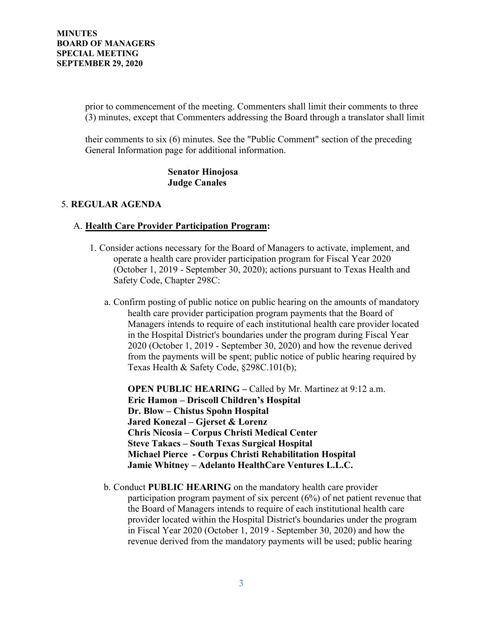prior to commencement of the meeting. Commenters shall limit their comments to three (3) minutes, except that Commenters addressing the Board through a translator shall limit

their comments to six (6) minutes. See the "Public Comment" section of the preceding General Information page for additional information.

> **Senator Hinojosa Judge Canales**

### 5. **REGULAR AGENDA**

#### A. **Health Care Provider Participation Program:**

- 1. Consider actions necessary for the Board of Managers to activate, implement, and operate a health care provider participation program for Fiscal Year 2020 (October 1, 2019 - September 30, 2020); actions pursuant to Texas Health and Safety Code, Chapter 298C:
	- a. Confirm posting of public notice on public hearing on the amounts of mandatory health care provider participation program payments that the Board of Managers intends to require of each institutional health care provider located in the Hospital District's boundaries under the program during Fiscal Year 2020 (October 1, 2019 - September 30, 2020) and how the revenue derived from the payments will be spent; public notice of public hearing required by Texas Health & Safety Code, §298C.101(b);

**OPEN PUBLIC HEARING –** Called by Mr. Martinez at 9:12 a.m. **Eric Hamon – Driscoll Children's Hospital Dr. Blow – Chistus Spohn Hospital Jared Konezal – Gjerset & Lorenz Chris Nicosia – Corpus Christi Medical Center Steve Takacs – South Texas Surgical Hospital Michael Pierce - Corpus Christi Rehabilitation Hospital Jamie Whitney – Adelanto HealthCare Ventures L.L.C.**

b. Conduct **PUBLIC HEARING** on the mandatory health care provider participation program payment of six percent (6%) of net patient revenue that the Board of Managers intends to require of each institutional health care provider located within the Hospital District's boundaries under the program in Fiscal Year 2020 (October 1, 2019 - September 30, 2020) and how the revenue derived from the mandatory payments will be used; public hearing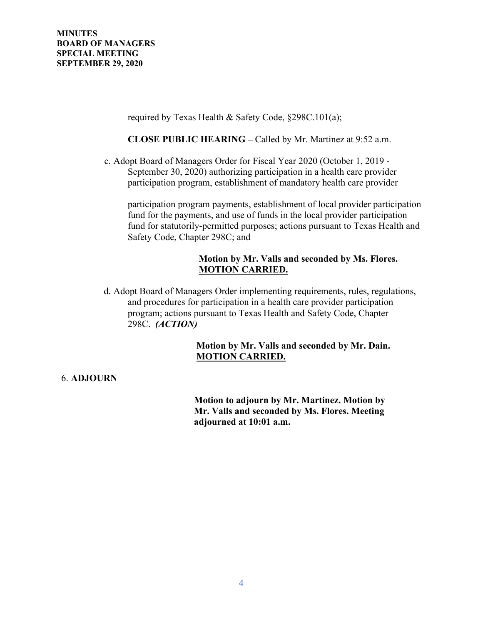required by Texas Health & Safety Code, §298C.101(a);

**CLOSE PUBLIC HEARING –** Called by Mr. Martinez at 9:52 a.m.

c. Adopt Board of Managers Order for Fiscal Year 2020 (October 1, 2019 - September 30, 2020) authorizing participation in a health care provider participation program, establishment of mandatory health care provider

participation program payments, establishment of local provider participation fund for the payments, and use of funds in the local provider participation fund for statutorily-permitted purposes; actions pursuant to Texas Health and Safety Code, Chapter 298C; and

## **Motion by Mr. Valls and seconded by Ms. Flores. MOTION CARRIED.**

d. Adopt Board of Managers Order implementing requirements, rules, regulations, and procedures for participation in a health care provider participation program; actions pursuant to Texas Health and Safety Code, Chapter 298C. *(ACTION)*

# **Motion by Mr. Valls and seconded by Mr. Dain. MOTION CARRIED.**

#### 6. **ADJOURN**

 **Motion to adjourn by Mr. Martinez. Motion by Mr. Valls and seconded by Ms. Flores. Meeting adjourned at 10:01 a.m.**